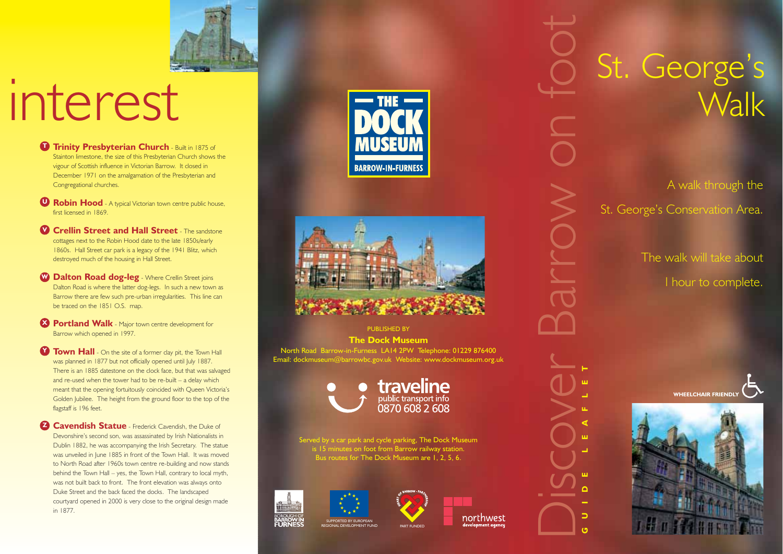

## interest

- **D** Trinity Presbyterian Church Built in 1875 of Stainton limestone, the size of this Presbyterian Church shows the vigour of Scottish influence in Victorian Barrow. It closed in December 1971 on the amalgamation of the Presbyterian and Congregational churches.
- **Robin Hood** A typical Victorian town centre public house, **U** first licensed in 1869.
- **V** Crellin Street and Hall Street The sandstone cottages next to the Robin Hood date to the late 1850s/early 1860s. Hall Street car park is a legacy of the 1941 Blitz, which destroyed much of the housing in Hall Street.
- **Dalton Road dog-leg** Where Crellin Street joins **W** Dalton Road is where the latter dog-legs. In such a new town as Barrow there are few such pre-urban irregularities. This line can be traced on the 1851 O.S. map.
- **Portland Walk** Major town centre development for Barrow which opened in 1997.
- **Town Hall** On the site of a former clay pit, the Town Hall was planned in 1877 but not officially opened until July 1887. There is an 1885 datestone on the clock face, but that was salvaged and re-used when the tower had to be re-built – a delay which meant that the opening fortuitously coincided with Queen Victoria's Golden Jubilee. The height from the ground floor to the top of the flagstaff is 196 feet
- **Z** Cavendish Statue Frederick Cavendish, the Duke of Devonshire's second son, was assassinated by Irish Nationalists in Dublin 1882, he was accompanying the Irish Secretary. The statue was unveiled in June 1885 in front of the Town Hall. It was moved to North Road after 1960s town centre re-building and now stands behind the Town Hall – yes, the Town Hall, contrary to local myth, was not built back to front. The front elevation was always onto Duke Street and the back faced the docks. The landscaped courtyard opened in 2000 is very close to the original design made in 1877.





PUBLISHED BY **The Dock Museum** North Road Barrow-in-Furness LA14 2PW Telephone: 01229 876400 Email: dockmuseum@barrowbc.gov.uk Website: www.dockmuseum.org.uk



Served by a car park and cycle parking, The Dock Museum is 15 minutes on foot from Barrow railway station. Bus routes for The Dock Museum are 1, 2, 5, 6.





northwest

St. George's **Walk** 

A walk through the St. George's Conservation Area.

> The walk will take about 1 hour to complete.





**GUIDE LEAFLET**

Discover Barrow on foot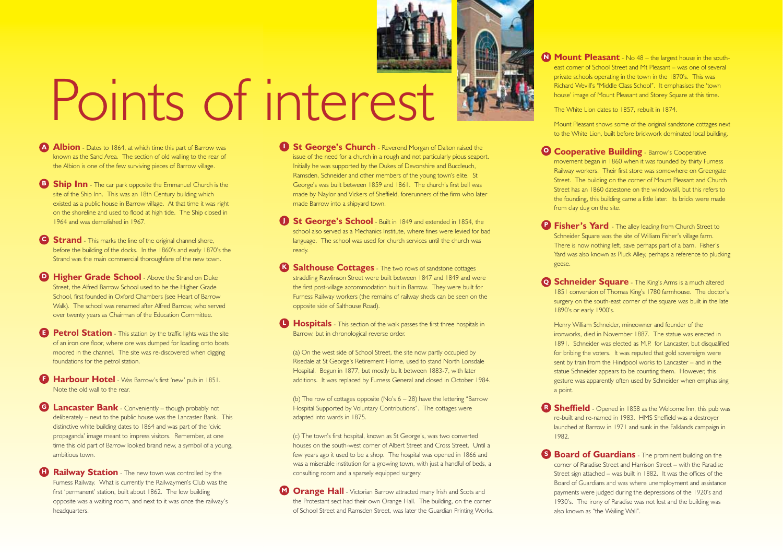

## Points of interest

- **Albion** Dates to 1864, at which time this part of Barrow was known as the Sand Area. The section of old walling to the rear of the Albion is one of the few surviving pieces of Barrow village.
- **Ship Inn** The car park opposite the Emmanuel Church is the site of the Ship Inn. This was an 18th Century building which existed as a public house in Barrow village. At that time it was right on the shoreline and used to flood at high tide. The Ship closed in 1964 and was demolished in 1967.
- **Strand** This marks the line of the original channel shore, before the building of the docks. In the 1860's and early 1870's the Strand was the main commercial thoroughfare of the new town.
- **Higher Grade School** Above the Strand on Duke **D** Street, the Alfred Barrow School used to be the Higher Grade School, first founded in Oxford Chambers (see Heart of Barrow Walk). The school was renamed after Alfred Barrow, who served over twenty years as Chairman of the Education Committee.
- **Petrol Station** This station by the traffic lights was the site of an iron ore floor, where ore was dumped for loading onto boats moored in the channel. The site was re-discovered when digging foundations for the petrol station.
- **Harbour Hotel** Was Barrow's first 'new' pub in 1851. Note the old wall to the rear.
- **C** Lancaster Bank Conveniently though probably not deliberately – next to the public house was the Lancaster Bank. This distinctive white building dates to 1864 and was part of the 'civic propaganda' image meant to impress visitors. Remember, at one time this old part of Barrow looked brand new, a symbol of a young, ambitious town.
- **Railway Station** The new town was controlled by the Furness Railway. What is currently the Railwaymen's Club was the first 'permanent' station, built about 1862. The low building opposite was a waiting room, and next to it was once the railway's headquarters. **H**
- **J St George's Church** Reverend Morgan of Dalton raised the issue of the need for a church in a rough and not particularly pious seaport. Initially he was supported by the Dukes of Devonshire and Buccleuch, Ramsden, Schneider and other members of the young town's elite. St George's was built between 1859 and 1861. The church's first bell was made by Naylor and Vickers of Sheffield, forerunners of the firm who later made Barrow into a shipyard town.
- **St George's School** Built in 1849 and extended in 1854, the **J** school also served as a Mechanics Institute, where fines were levied for bad language. The school was used for church services until the church was ready.
- **Salthouse Cottages** The two rows of sandstone cottages straddling Rawlinson Street were built between 1847 and 1849 and were the first post-village accommodation built in Barrow. They were built for Furness Railway workers (the remains of railway sheds can be seen on the opposite side of Salthouse Road).
- **Hospitals** This section of the walk passes the first three hospitals in Barrow, but in chronological reverse order.
	- (a) On the west side of School Street, the site now partly occupied by Risedale at St George's Retirement Home, used to stand North Lonsdale Hospital. Begun in 1877, but mostly built between 1883-7, with later additions. It was replaced by Furness General and closed in October 1984.
	- (b) The row of cottages opposite ( $No's 6 28$ ) have the lettering "Barrow Hospital Supported by Voluntary Contributions". The cottages were adapted into wards in 1875.
	- (c) The town's first hospital, known as St George's, was two converted houses on the south-west corner of Albert Street and Cross Street. Until a few years ago it used to be a shop. The hospital was opened in 1866 and was a miserable institution for a growing town, with just a handful of beds, a consulting room and a sparsely equipped surgery.
- **Orange Hall** Victorian Barrow attracted many Irish and Scots and the Protestant sect had their own Orange Hall. The building, on the corner of School Street and Ramsden Street, was later the Guardian Printing Works.
- **Mount Pleasant** No 48 the largest house in the southeast corner of School Street and Mt Pleasant – was one of several private schools operating in the town in the 1870's. This was Richard Wevill's "Middle Class School". It emphasises the 'town house' image of Mount Pleasant and Storey Square at this time.
	- The White Lion dates to 1857, rebuilt in 1874.
- Mount Pleasant shows some of the original sandstone cottages next to the White Lion, built before brickwork dominated local building.
- **O Cooperative Building** Barrow's Cooperative movement began in 1860 when it was founded by thirty Furness Railway workers. Their first store was somewhere on Greengate Street. The building on the corner of Mount Pleasant and Church Street has an 1860 datestone on the windowsill, but this refers to the founding, this building came a little later. Its bricks were made from clay dug on the site.
- **P** Fisher's Yard The alley leading from Church Street to Schneider Square was the site of William Fisher's village farm. There is now nothing left, save perhaps part of a barn. Fisher's Yard was also known as Pluck Alley, perhaps a reference to plucking geese.
- **Q Schneider Square** The King's Arms is a much altered 1851 conversion of Thomas King's 1780 farmhouse. The doctor's surgery on the south-east corner of the square was built in the late 1890's or early 1900's.
- Henry William Schneider, mineowner and founder of the ironworks, died in November 1887. The statue was erected in 1891. Schneider was elected as M.P. for Lancaster, but disqualified for bribing the voters. It was reputed that gold sovereigns were sent by train from the Hindpool works to Lancaster – and in the statue Schneider appears to be counting them. However, this gesture was apparently often used by Schneider when emphasising a point.
- **Sheffield** Opened in 1858 as the Welcome Inn, this pub was re-built and re-named in 1983. HMS Sheffield was a destroyer launched at Barrow in 1971 and sunk in the Falklands campaign in 1982.
- **Board of Guardians** The prominent building on the corner of Paradise Street and Harrison Street – with the Paradise Street sign attached – was built in 1882. It was the offices of the Board of Guardians and was where unemployment and assistance payments were judged during the depressions of the 1920's and 1930's. The irony of Paradise was not lost and the building was also known as "the Wailing Wall".